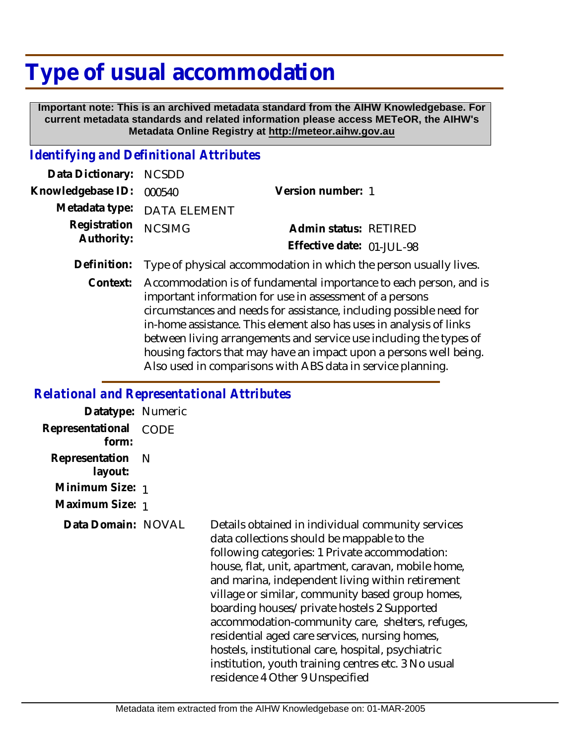## **Type of usual accommodation**

 **Important note: This is an archived metadata standard from the AIHW Knowledgebase. For current metadata standards and related information please access METeOR, the AIHW's Metadata Online Registry at http://meteor.aihw.gov.au**

## *Identifying and Definitional Attributes*

| Data Dictionary: NCSDD   |                             |                           |
|--------------------------|-----------------------------|---------------------------|
| Knowledgebase ID: 000540 |                             | Version number: 1         |
|                          | Metadata type: DATA ELEMENT |                           |
| Registration NCSIMG      |                             | Admin status: RETIRED     |
| Authority:               |                             | Effective date: 01-JUL-98 |
|                          |                             |                           |

- **Definition:** Type of physical accommodation in which the person usually lives.
	- Accommodation is of fundamental importance to each person, and is important information for use in assessment of a persons circumstances and needs for assistance, including possible need for in-home assistance. This element also has uses in analysis of links between living arrangements and service use including the types of housing factors that may have an impact upon a persons well being. Also used in comparisons with ABS data in service planning. **Context:**

## *Relational and Representational Attributes*

| Datatype: Numeric         |             |                                                                                                                                                                                                                                                                                                                                                                                                                                                                                                                                                                                                                       |
|---------------------------|-------------|-----------------------------------------------------------------------------------------------------------------------------------------------------------------------------------------------------------------------------------------------------------------------------------------------------------------------------------------------------------------------------------------------------------------------------------------------------------------------------------------------------------------------------------------------------------------------------------------------------------------------|
| Representational<br>form: | <b>CODE</b> |                                                                                                                                                                                                                                                                                                                                                                                                                                                                                                                                                                                                                       |
| Representation<br>layout: | N           |                                                                                                                                                                                                                                                                                                                                                                                                                                                                                                                                                                                                                       |
| Minimum Size: 1           |             |                                                                                                                                                                                                                                                                                                                                                                                                                                                                                                                                                                                                                       |
| Maximum Size: 1           |             |                                                                                                                                                                                                                                                                                                                                                                                                                                                                                                                                                                                                                       |
| Data Domain: NOVAL        |             | Details obtained in individual community services<br>data collections should be mappable to the<br>following categories: 1 Private accommodation:<br>house, flat, unit, apartment, caravan, mobile home,<br>and marina, independent living within retirement<br>village or similar, community based group homes,<br>boarding houses/private hostels 2 Supported<br>accommodation-community care, shelters, refuges,<br>residential aged care services, nursing homes,<br>hostels, institutional care, hospital, psychiatric<br>institution, youth training centres etc. 3 No usual<br>residence 4 Other 9 Unspecified |